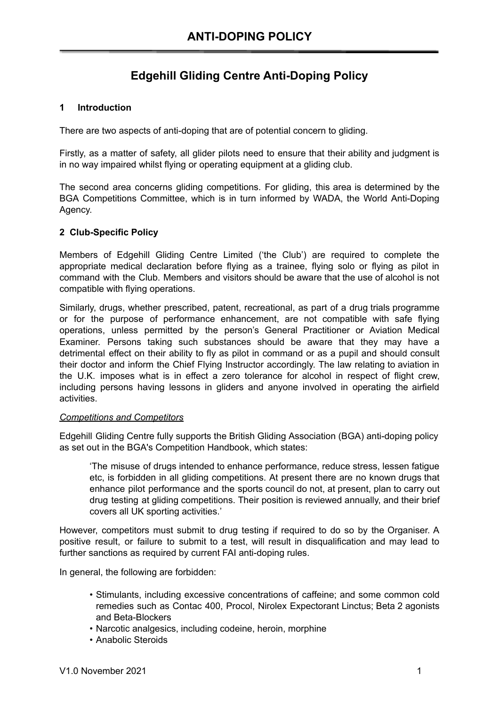## **Edgehill Gliding Centre Anti-Doping Policy**

## **1 Introduction**

There are two aspects of anti-doping that are of potential concern to gliding.

Firstly, as a matter of safety, all glider pilots need to ensure that their ability and judgment is in no way impaired whilst flying or operating equipment at a gliding club.

The second area concerns gliding competitions. For gliding, this area is determined by the BGA Competitions Committee, which is in turn informed by WADA, the World Anti-Doping Agency.

## **2 Club-Specific Policy**

Members of Edgehill Gliding Centre Limited ('the Club') are required to complete the appropriate medical declaration before flying as a trainee, flying solo or flying as pilot in command with the Club. Members and visitors should be aware that the use of alcohol is not compatible with flying operations.

Similarly, drugs, whether prescribed, patent, recreational, as part of a drug trials programme or for the purpose of performance enhancement, are not compatible with safe flying operations, unless permitted by the person's General Practitioner or Aviation Medical Examiner. Persons taking such substances should be aware that they may have a detrimental effect on their ability to fly as pilot in command or as a pupil and should consult their doctor and inform the Chief Flying Instructor accordingly. The law relating to aviation in the U.K. imposes what is in effect a zero tolerance for alcohol in respect of flight crew, including persons having lessons in gliders and anyone involved in operating the airfield activities.

## *Competitions and Competitors*

Edgehill Gliding Centre fully supports the British Gliding Association (BGA) anti-doping policy as set out in the BGA's Competition Handbook, which states:

'The misuse of drugs intended to enhance performance, reduce stress, lessen fatigue etc, is forbidden in all gliding competitions. At present there are no known drugs that enhance pilot performance and the sports council do not, at present, plan to carry out drug testing at gliding competitions. Their position is reviewed annually, and their brief covers all UK sporting activities.'

However, competitors must submit to drug testing if required to do so by the Organiser. A positive result, or failure to submit to a test, will result in disqualification and may lead to further sanctions as required by current FAI anti-doping rules.

In general, the following are forbidden:

- Stimulants, including excessive concentrations of caffeine; and some common cold remedies such as Contac 400, Procol, Nirolex Expectorant Linctus; Beta 2 agonists and Beta-Blockers
- Narcotic analgesics, including codeine, heroin, morphine
- Anabolic Steroids